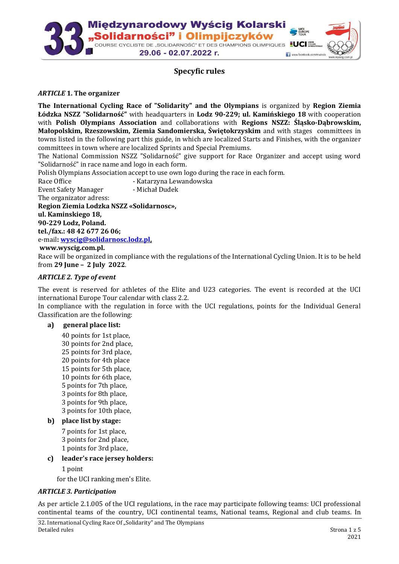

# **Specyfic rules**

#### *ARTICLE* **1. The organizer**

**The International Cycling Race of "Solidarity" and the Olympians** is organized by **Region Ziemia Łódzka NSZZ "Solidarność"** with headquarters in **Lodz 90-229; ul. Kamińskiego 18** with cooperation with **Polish Olympians Association** and collaborations with **Regions NSZZ: Śląsko-Dąbrowskim, Małopolskim, Rzeszowskim, Ziemia Sandomierska, Świętokrzyskim** and with stages committees in towns listed in the following part this guide, in which are localized Starts and Finishes, with the organizer committees in town where are localized Sprints and Special Premiums.

The National Commission NSZZ "Solidarność" give support for Race Organizer and accept using word "Solidarność" in race name and logo in each form.

Polish Olympians Association accept to use own logo during the race in each form.

Race Office **- Katarzyna Lewandowska** Event Safety Manager - Michał Dudek

The organizator adress:

**Region Ziemia Lodzka NSZZ «Solidarnosc»,** 

**ul. Kaminskiego 18,** 

**90-229 Lodz, Poland. tel./fax.: 48 42 677 26 06;** 

e-mail**[: wyscig@solidarnosc.lodz.pl,](mailto:wyscig@solidarnosc.lodz.pl)**

#### **www.wyscig.com.pl.**

Race will be organized in compliance with the regulations of the International Cycling Union. It is to be held from **29 June – 2 July 2022**.

#### *ARTICLE 2. Type of event*

The event is reserved for athletes of the Elite and U23 categories. The event is recorded at the UCI international Europe Tour calendar with class 2.2.

In compliance with the regulation in force with the UCI regulations, points for the Individual General Classification are the following:

#### **a) general place list:**

40 points for 1st place, 30 points for 2nd place, 25 points for 3rd place, 20 points for 4th place 15 points for 5th place, 10 points for 6th place, 5 points for 7th place, 3 points for 8th place, 3 points for 9th place, 3 points for 10th place,

## **b) place list by stage:**

7 points for 1st place, 3 points for 2nd place, 1 points for 3rd place,

## **c) leader's race jersey holders:**

1 point

for the UCI ranking men's Elite.

#### *ARTICLE 3. Participation*

As per article 2.1.005 of the UCI regulations, in the race may participate following teams: UCI professional continental teams of the country, UCI continental teams, National teams, Regional and club teams. In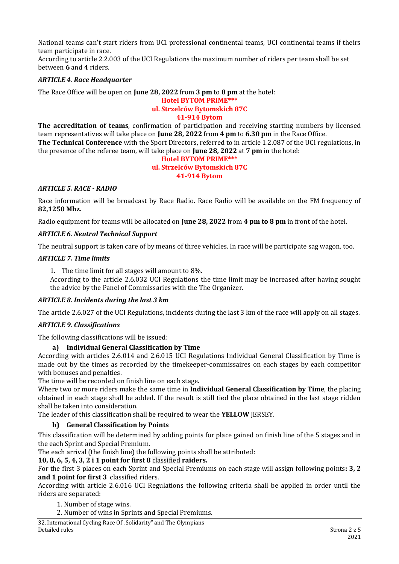National teams can't start riders from UCI professional continental teams, UCI continental teams if theirs team participate in race.

According to article 2.2.003 of the UCI Regulations the maximum number of riders per team shall be set between **6** and **4** riders.

## *ARTICLE 4. Race Headquarter*

The Race Office will be open on **June 28, 2022** from **3 pm** to **8 pm** at the hotel:

# **Hotel BYTOM PRIME\*\*\***

# **ul. Strzelców Bytomskich 87C**

#### **41-914 Bytom**

**The accreditation of teams**, confirmation of participation and receiving starting numbers by licensed team representatives will take place on **June 28, 2022** from **4 pm** to **6.30 pm** in the Race Office. **The Technical Conference** with the Sport Directors, referred to in article 1.2.087 of the UCI regulations, in the presence of the referee team, will take place on **June 28, 2022** at **7 pm** in the hotel:

#### **Hotel BYTOM PRIME\*\*\* ul. Strzelców Bytomskich 87C 41-914 Bytom**

# *ARTICLE 5. RACE - RADIO*

Race information will be broadcast by Race Radio. Race Radio will be available on the FM frequency of **82,1250 Mhz.**

Radio equipment for teams will be allocated on **June 28, 2022** from **4 pm to 8 pm** in front of the hotel.

# *ARTICLE 6. Neutral Technical Support*

The neutral support is taken care of by means of three vehicles. In race will be participate sag wagon, too.

## *ARTICLE 7. Time limits*

1. The time limit for all stages will amount to 8%.

According to the article 2.6.032 UCI Regulations the time limit may be increased after having sought the advice by the Panel of Commissaries with the The Organizer.

## *ARTICLE 8. Incidents during the last 3 km*

The article 2.6.027 of the UCI Regulations, incidents during the last 3 km of the race will apply on all stages.

## *ARTICLE 9. Classifications*

The following classifications will be issued:

## **a) Individual General Classification by Time**

According with articles 2.6.014 and 2.6.015 UCI Regulations Individual General Classification by Time is made out by the times as recorded by the timekeeper-commissaires on each stages by each competitor with bonuses and penalties.

The time will be recorded on finish line on each stage.

Where two or more riders make the same time in **Individual General Classification by Time**, the placing obtained in each stage shall be added. If the result is still tied the place obtained in the last stage ridden shall be taken into consideration.

The leader of this classification shall be required to wear the **YELLOW** JERSEY.

## **b) General Classification by Points**

This classification will be determined by adding points for place gained on finish line of the 5 stages and in the each Sprint and Special Premium.

The each arrival (the finish line) the following points shall be attributed:

## **10, 8, 6, 5, 4, 3, 2 i 1 point for first 8** classified **raiders.**

For the first 3 places on each Sprint and Special Premiums on each stage will assign following points**: 3, 2 and 1 point for first 3** classified riders.

According with article 2.6.016 UCI Regulations the following criteria shall be applied in order until the riders are separated:

1. Number of stage wins.

2. Number of wins in Sprints and Special Premiums.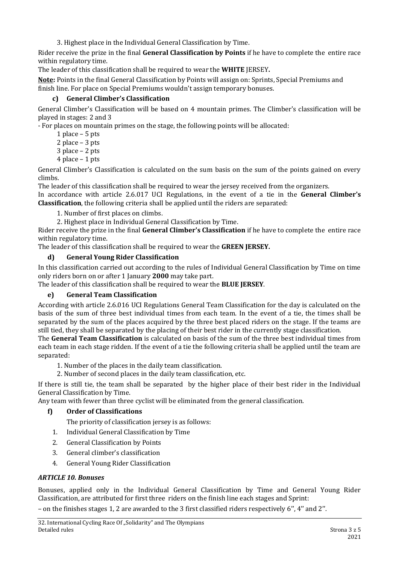3. Highest place in the Individual General Classification by Time.

Rider receive the prize in the final **General Classification by Points** if he have to complete the entire race within regulatory time.

The leader of this classification shall be required to wear the **WHITE** JERSEY**.**

**Note:** Points in the final General Classification by Points will assign on: Sprints, Special Premiums and finish line. For place on Special Premiums wouldn't assign temporary bonuses.

# **c) General Climber's Classification**

General Climber's Classification will be based on 4 mountain primes. The Climber's classification will be played in stages: 2 and 3

- For places on mountain primes on the stage, the following points will be allocated:

- 1 place 5 pts
- 2 place 3 pts
- 3 place 2 pts
- 4 place 1 pts

General Climber's Classification is calculated on the sum basis on the sum of the points gained on every climbs.

The leader of this classification shall be required to wear the jersey received from the organizers. In accordance with article 2.6.017 UCI Regulations, in the event of a tie in the **General Climber's Classification**, the following criteria shall be applied until the riders are separated:

1. Number of first places on climbs.

2. Highest place in Individual General Classification by Time.

Rider receive the prize in the final **General Climber's Classification** if he have to complete the entire race within regulatory time.

The leader of this classification shall be required to wear the **GREEN JERSEY.**

# **d) General Young Rider Classification**

In this classification carried out according to the rules of Individual General Classification by Time on time only riders born on or after 1 January **2000** may take part.

The leader of this classification shall be required to wear the **BLUE JERSEY**.

## **e) General Team Classification**

According with article 2.6.016 UCI Regulations General Team Classification for the day is calculated on the basis of the sum of three best individual times from each team. In the event of a tie, the times shall be separated by the sum of the places acquired by the three best placed riders on the stage. If the teams are still tied, they shall be separated by the placing of their best rider in the currently stage classification.

The **General Team Classification** is calculated on basis of the sum of the three best individual times from each team in each stage ridden. If the event of a tie the following criteria shall be applied until the team are separated:

- 1. Number of the places in the daily team classification.
- 2. Number of second places in the daily team classification, etc.

If there is still tie, the team shall be separated by the higher place of their best rider in the Individual General Classification by Time.

Any team with fewer than three cyclist will be eliminated from the general classification.

# **f) Order of Classifications**

- The priority of classification jersey is as follows:
- 1. Individual General Classification by Time
- 2. General Classification by Points
- 3. General climber's classification
- 4. General Young Rider Classification

## *ARTICLE 10. Bonuses*

Bonuses, applied only in the Individual General Classification by Time and General Young Rider Classification, are attributed for first three riders on the finish line each stages and Sprint:

– on the finishes stages 1, 2 are awarded to the 3 first classified riders respectively 6'', 4'' and 2''.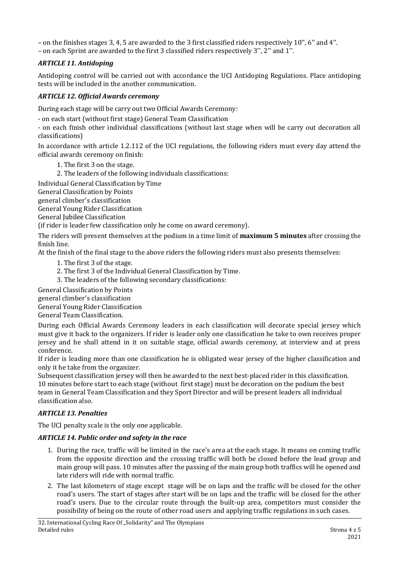– on the finishes stages 3, 4, 5 are awarded to the 3 first classified riders respectively 10'', 6'' and 4''.

– on each Sprint are awarded to the first 3 classified riders respectively 3'', 2'' and 1''.

# *ARTICLE 11. Antidoping*

Antidoping control will be carried out with accordance the UCI Antidoping Regulations. Place antidoping tests will be included in the another communication.

# *ARTICLE 12. Official Awards ceremony*

During each stage will be carry out two Official Awards Ceremony:

- on each start (without first stage) General Team Classification

- on each finish other individual classifications (without last stage when will be carry out decoration all classifications)

In accordance with article 1.2.112 of the UCI regulations, the following riders must every day attend the official awards ceremony on finish:

1. The first 3 on the stage.

2. The leaders of the following individuals classifications:

Individual General Classification by Time

General Classification by Points

general climber's classification

General Young Rider Classification

General Jubilee Classification

(if rider is leader few classification only he come on award ceremony).

The riders will present themselves at the podium in a time limit of **maximum 5 minutes** after crossing the finish line.

At the finish of the final stage to the above riders the following riders must also presents themselves:

- 1. The first 3 of the stage.
- 2. The first 3 of the Individual General Classification by Time.
- 3. The leaders of the following secondary classifications:

General Classification by Points

general climber's classification

General Young Rider Classification

General Team Classification.

During each Official Awards Ceremony leaders in each classification will decorate special jersey which must give it back to the organizers. If rider is leader only one classification he take to own receives proper jersey and he shall attend in it on suitable stage, official awards ceremony, at interview and at press conference.

If rider is leading more than one classification he is obligated wear jersey of the higher classification and only it he take from the organizer.

Subsequent classification jersey will then be awarded to the next best-placed rider in this classification. 10 minutes before start to each stage (without first stage) must be decoration on the podium the best team in General Team Classification and they Sport Director and will be present leaders all individual classification also.

## *ARTICLE 13. Penalties*

The UCI penalty scale is the only one applicable.

## *ARTICLE 14. Public order and safety in the race*

- 1. During the race, traffic will be limited in the race's area at the each stage. It means on coming traffic from the opposite direction and the crossing traffic will both be closed before the lead group and main group will pass. 10 minutes after the passing of the main group both traffics will be opened and late riders will ride with normal traffic.
- 2. The last kilometers of stage except stage will be on laps and the traffic will be closed for the other road's users. The start of stages after start will be on laps and the traffic will be closed for the other road's users. Due to the circular route through the built-up area, competitors must consider the possibility of being on the route of other road users and applying traffic regulations in such cases.